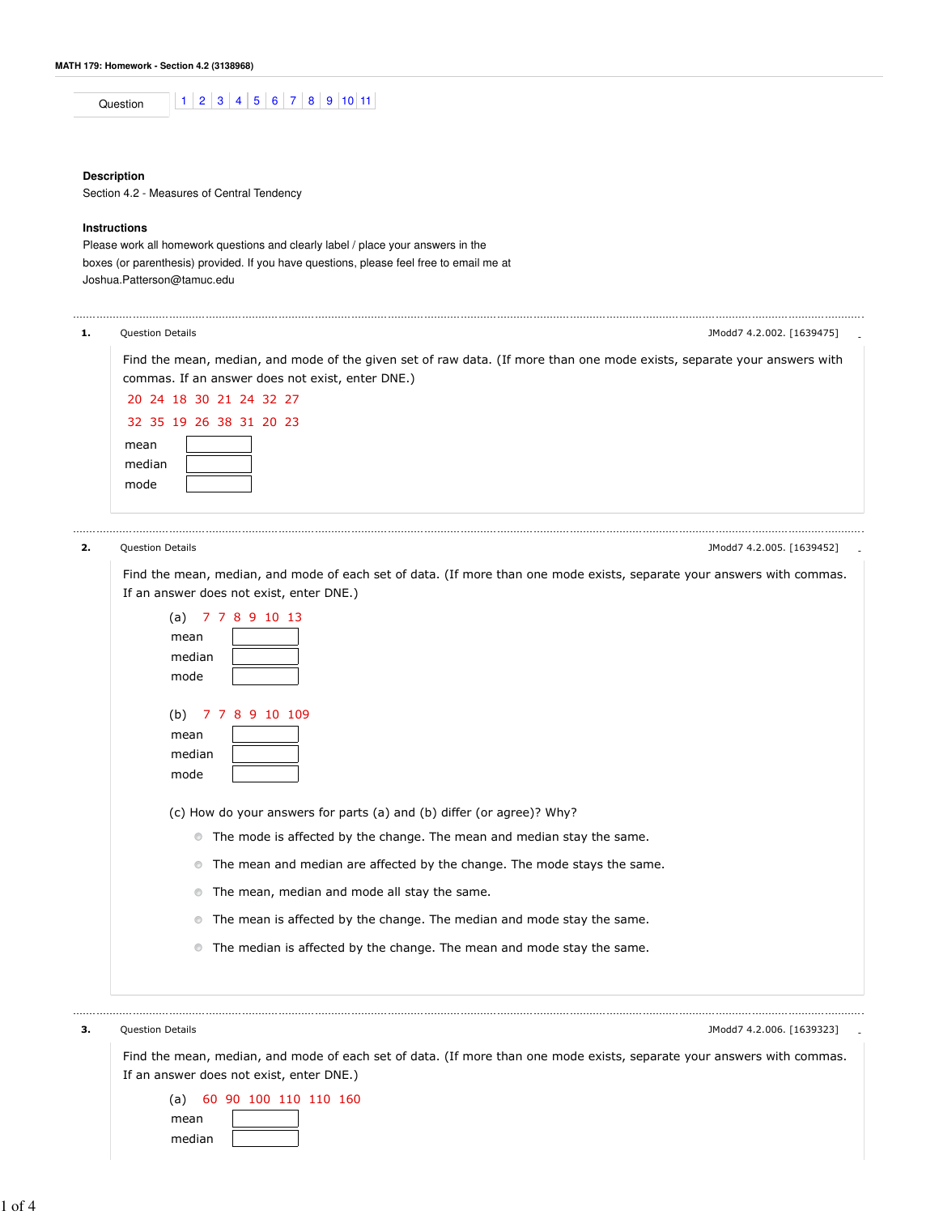| nn<br>.,,, |  | $\overline{ }$ | n | . . | Ā<br>x | . . |  |
|------------|--|----------------|---|-----|--------|-----|--|
|            |  |                |   |     |        |     |  |

### **Description**

Section 4.2 - Measures of Central Tendency

# **Instructions**

Please work all homework questions and clearly label / place your answers in the boxes (or parenthesis) provided. If you have questions, please feel free to email me at Joshua.Patterson@tamuc.edu

| 1. | Question Details<br>JModd7 4.2.002. [1639475]                                                                                                                               |
|----|-----------------------------------------------------------------------------------------------------------------------------------------------------------------------------|
|    | Find the mean, median, and mode of the given set of raw data. (If more than one mode exists, separate your answers with<br>commas. If an answer does not exist, enter DNE.) |
|    | 20 24 18 30 21 24 32 27                                                                                                                                                     |
|    | 32 35 19 26 38 31 20 23                                                                                                                                                     |
|    | mean                                                                                                                                                                        |
|    | median                                                                                                                                                                      |
|    | mode                                                                                                                                                                        |
| 2. | <b>Question Details</b><br>JModd7 4.2.005. [1639452]                                                                                                                        |
|    | Find the mean, median, and mode of each set of data. (If more than one mode exists, separate your answers with commas.<br>If an answer does not exist, enter DNE.)          |
|    | (a) $77891013$                                                                                                                                                              |
|    | mean                                                                                                                                                                        |
|    | median                                                                                                                                                                      |
|    | mode                                                                                                                                                                        |
|    | 7 7 8 9 10 109<br>(b)                                                                                                                                                       |
|    | mean                                                                                                                                                                        |
|    | median                                                                                                                                                                      |
|    | mode                                                                                                                                                                        |
|    | (c) How do your answers for parts (a) and (b) differ (or agree)? Why?                                                                                                       |
|    | • The mode is affected by the change. The mean and median stay the same.                                                                                                    |
|    | The mean and median are affected by the change. The mode stays the same.<br>$\circledcirc$                                                                                  |
|    | The mean, median and mode all stay the same.<br>$\circledcirc$                                                                                                              |
|    | The mean is affected by the change. The median and mode stay the same.<br>$\circledcirc$                                                                                    |
|    | • The median is affected by the change. The mean and mode stay the same.                                                                                                    |
| з. | <b>Question Details</b><br>JModd7 4.2.006. [1639323]                                                                                                                        |

Find the mean, median, and mode of each set of data. (If more than one mode exists, separate your answers with commas. If an answer does not exist, enter DNE.) (a) 60 90 100 110 110 160

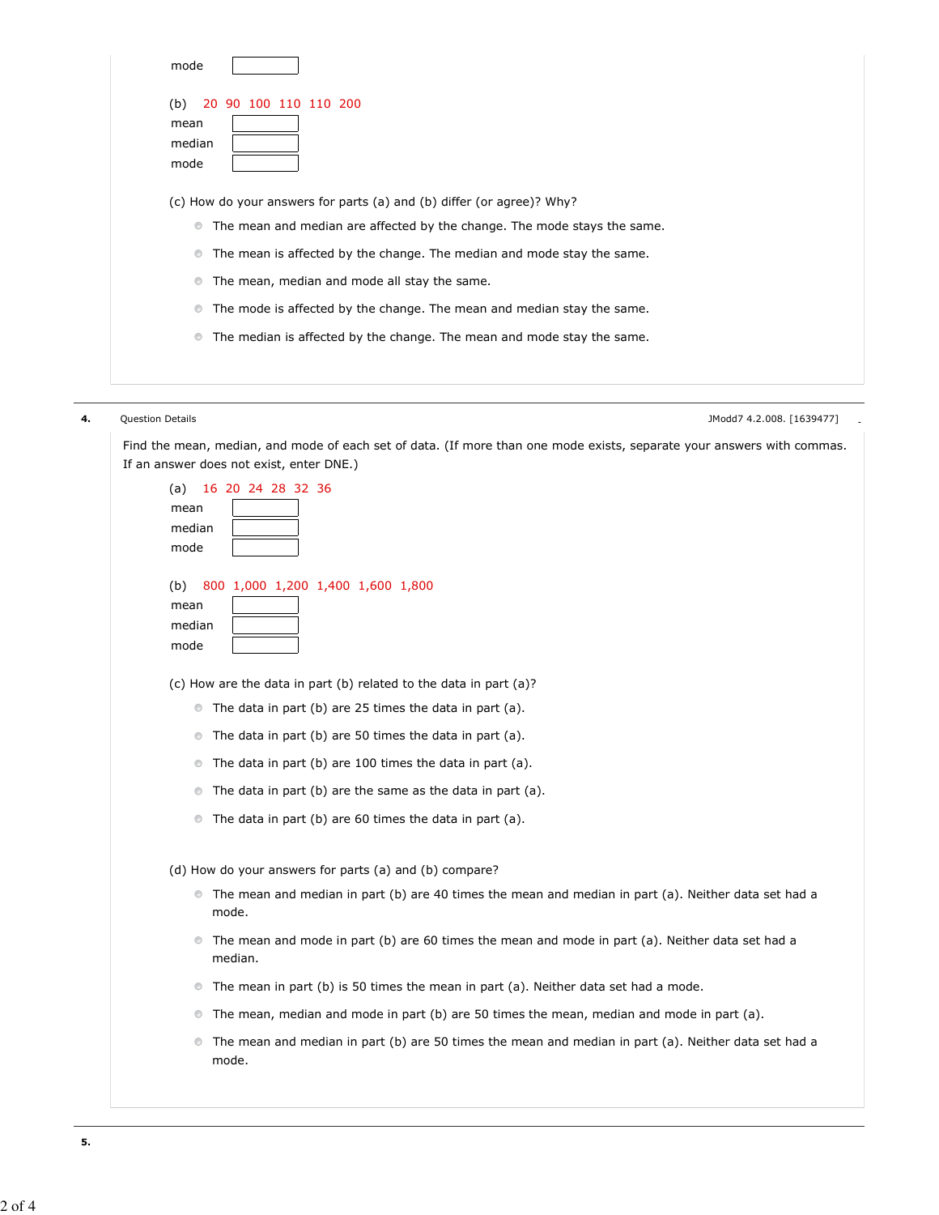|    | mode                                                                                                                            |  |
|----|---------------------------------------------------------------------------------------------------------------------------------|--|
|    | 20 90 100 110 110 200<br>(b)                                                                                                    |  |
|    | mean                                                                                                                            |  |
|    | median                                                                                                                          |  |
|    | mode                                                                                                                            |  |
|    | (c) How do your answers for parts (a) and (b) differ (or agree)? Why?                                                           |  |
|    | • The mean and median are affected by the change. The mode stays the same.                                                      |  |
|    | The mean is affected by the change. The median and mode stay the same.<br>$\circledcirc$                                        |  |
|    | The mean, median and mode all stay the same.<br>$\circledcirc$                                                                  |  |
|    | The mode is affected by the change. The mean and median stay the same.<br>$\circledcirc$                                        |  |
|    | The median is affected by the change. The mean and mode stay the same.<br>$\circledcirc$                                        |  |
|    |                                                                                                                                 |  |
|    |                                                                                                                                 |  |
| 4. | Question Details<br>JModd7 4.2.008. [1639477]                                                                                   |  |
|    | Find the mean, median, and mode of each set of data. (If more than one mode exists, separate your answers with commas.          |  |
|    | If an answer does not exist, enter DNE.)                                                                                        |  |
|    | 16 20 24 28 32 36<br>(a)<br>mean                                                                                                |  |
|    | median                                                                                                                          |  |
|    | mode                                                                                                                            |  |
|    | 800 1,000 1,200 1,400 1,600 1,800<br>(b)                                                                                        |  |
|    | mean                                                                                                                            |  |
|    | median                                                                                                                          |  |
|    | mode                                                                                                                            |  |
|    | (c) How are the data in part (b) related to the data in part (a)?                                                               |  |
|    | • The data in part (b) are 25 times the data in part (a).                                                                       |  |
|    | The data in part (b) are 50 times the data in part (a).<br>$\circledcirc$                                                       |  |
|    | The data in part (b) are 100 times the data in part (a).<br>$\circledcirc$                                                      |  |
|    | The data in part (b) are the same as the data in part (a).<br>$\circledcirc$                                                    |  |
|    | The data in part (b) are 60 times the data in part (a).<br>$\circledcirc$                                                       |  |
|    | (d) How do your answers for parts (a) and (b) compare?                                                                          |  |
|    | • The mean and median in part (b) are 40 times the mean and median in part (a). Neither data set had a                          |  |
|    | mode.                                                                                                                           |  |
|    | • The mean and mode in part (b) are 60 times the mean and mode in part (a). Neither data set had a<br>median.                   |  |
|    | • The mean in part (b) is 50 times the mean in part (a). Neither data set had a mode.                                           |  |
|    | The mean, median and mode in part (b) are 50 times the mean, median and mode in part (a).<br>$\circledcirc$                     |  |
|    | The mean and median in part (b) are 50 times the mean and median in part (a). Neither data set had a<br>$\circledcirc$<br>mode. |  |
|    |                                                                                                                                 |  |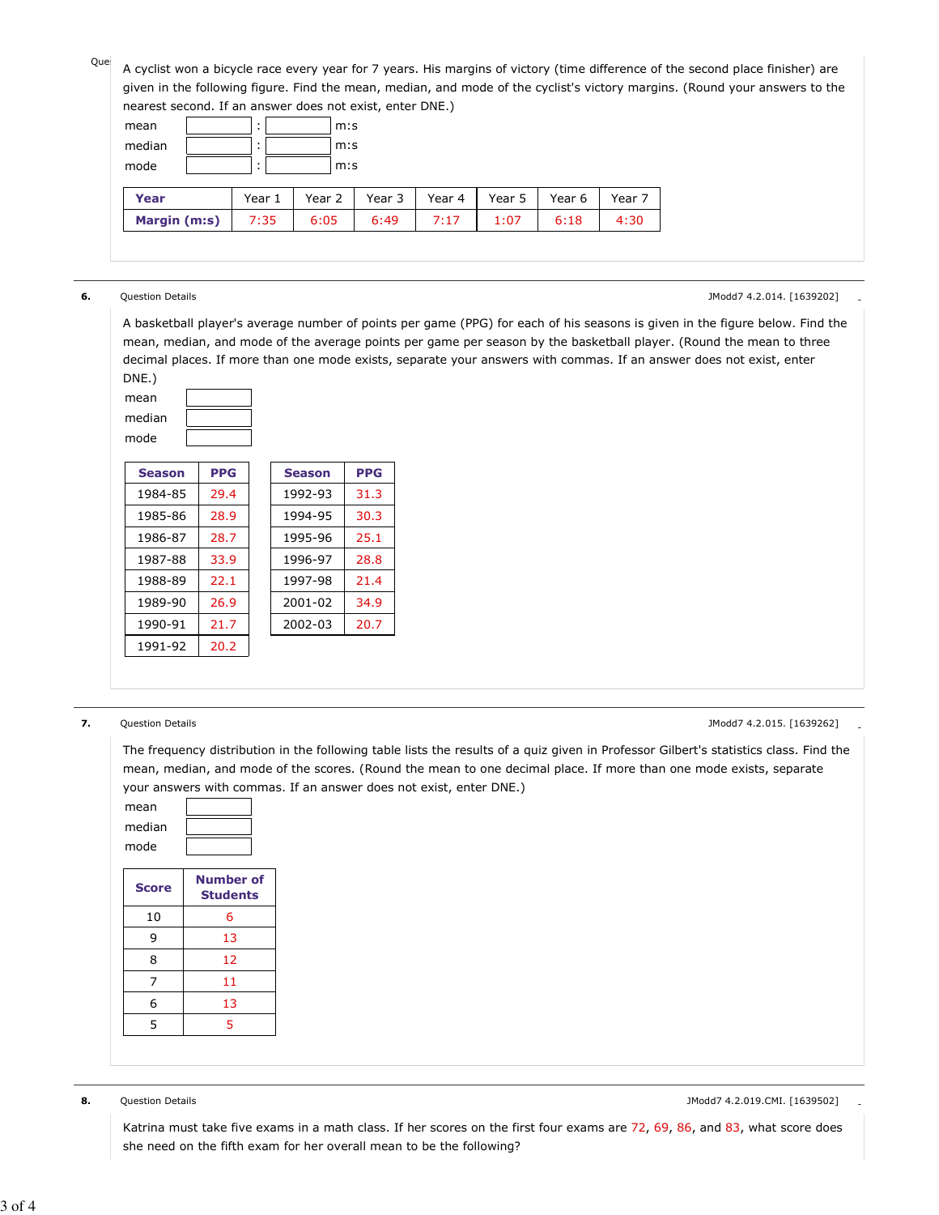Que<br>A cyclist won a bicycle race every year for 7 years. His margins of victory (time difference of the second place finisher) are given in the following figure. Find the mean, median, and mode of the cyclist's victory margins. (Round your answers to the nd If an anguer does not exist, enter DNE.)

| Thearest second. If an answer does not exist, enter Dive.) |                |        |        |        |        |        |        |
|------------------------------------------------------------|----------------|--------|--------|--------|--------|--------|--------|
| mean                                                       | $\blacksquare$ | m:s    |        |        |        |        |        |
| median<br>m:s                                              |                |        |        |        |        |        |        |
| mode<br>m:s<br>$\bullet$                                   |                |        |        |        |        |        |        |
| Year                                                       | Year 1         | Year 2 | Year 3 | Year 4 | Year 5 | Year 6 | Year 7 |
| Margin (m:s)                                               | 7:35           | 6:05   | 6:49   | 7:17   | 1:07   | 6:18   | 4:30   |
|                                                            |                |        |        |        |        |        |        |

## **6.** Question Details **- Alternative Contract Contract Contract Contract Contract Contract Contract Contract Contract Contract Contract Contract Contract Contract Contract Contract Contract Contract Contract Contract Contr**

A basketball player's average number of points per game (PPG) for each of his seasons is given in the figure below. Find the mean, median, and mode of the average points per game per season by the basketball player. (Round the mean to three decimal places. If more than one mode exists, separate your answers with commas. If an answer does not exist, enter



| <b>Season</b> | <b>PPG</b> | <b>Season</b> | <b>PPG</b> |
|---------------|------------|---------------|------------|
| 1984-85       | 29.4       | 1992-93       | 31.3       |
| 1985-86       | 28.9       | 1994-95       | 30.3       |
| 1986-87       | 28.7       | 1995-96       | 25.1       |
| 1987-88       | 33.9       | 1996-97       | 28.8       |
| 1988-89       | 22.1       | 1997-98       | 21.4       |
| 1989-90       | 26.9       | 2001-02       | 34.9       |
| 1990-91       | 21.7       | 2002-03       | 20.7       |
| 1991-92       | 20.2       |               |            |

## **7.** Question Details - Contract Contract Contract Contract Contract Contract Contract Contract Contract Contract Contract Contract Contract Contract Contract Contract Contract Contract Contract Contract Contract Contract

The frequency distribution in the following table lists the results of a quiz given in Professor Gilbert's statistics class. Find the mean, median, and mode of the scores. (Round the mean to one decimal place. If more than one mode exists, separate your answers with commas. If an answer does not exist, enter DNE.)



|    | <u>Juucnis</u> |
|----|----------------|
| 10 | 6              |
| 9  | 13             |
| 8  | 12             |
| 7  | 11             |
| 6  | 13             |
| 5  | 5              |
|    |                |

Katrina must take five exams in a math class. If her scores on the first four exams are 72, 69, 86, and 83, what score does she need on the fifth exam for her overall mean to be the following?

**<sup>8.</sup>** Question Details - All the state of the state of the state of the state of the state of the state of the state of the state of the state of the state of the state of the state of the state of the state of the state of